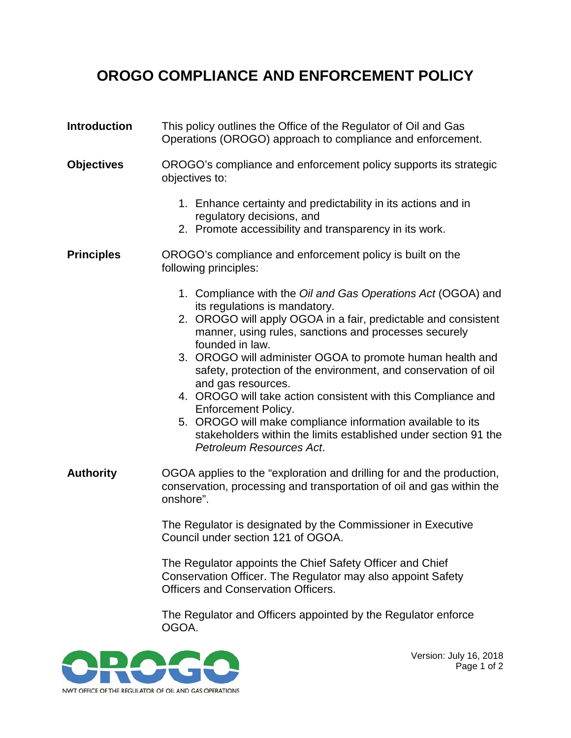## **OROGO COMPLIANCE AND ENFORCEMENT POLICY**

- **Introduction** This policy outlines the Office of the Regulator of Oil and Gas Operations (OROGO) approach to compliance and enforcement.
- **Objectives** OROGO's compliance and enforcement policy supports its strategic objectives to:
	- 1. Enhance certainty and predictability in its actions and in regulatory decisions, and
	- 2. Promote accessibility and transparency in its work.
- **Principles** OROGO's compliance and enforcement policy is built on the following principles:
	- 1. Compliance with the *Oil and Gas Operations Act* (OGOA) and its regulations is mandatory.
	- 2. OROGO will apply OGOA in a fair, predictable and consistent manner, using rules, sanctions and processes securely founded in law.
	- 3. OROGO will administer OGOA to promote human health and safety, protection of the environment, and conservation of oil and gas resources.
	- 4. OROGO will take action consistent with this Compliance and Enforcement Policy.
	- 5. OROGO will make compliance information available to its stakeholders within the limits established under section 91 the *Petroleum Resources Act*.
- **Authority** OGOA applies to the "exploration and drilling for and the production, conservation, processing and transportation of oil and gas within the onshore".

The Regulator is designated by the Commissioner in Executive Council under section 121 of OGOA.

The Regulator appoints the Chief Safety Officer and Chief Conservation Officer. The Regulator may also appoint Safety Officers and Conservation Officers.

The Regulator and Officers appointed by the Regulator enforce OGOA.



Version: July 16, 2018 Page 1 of 2